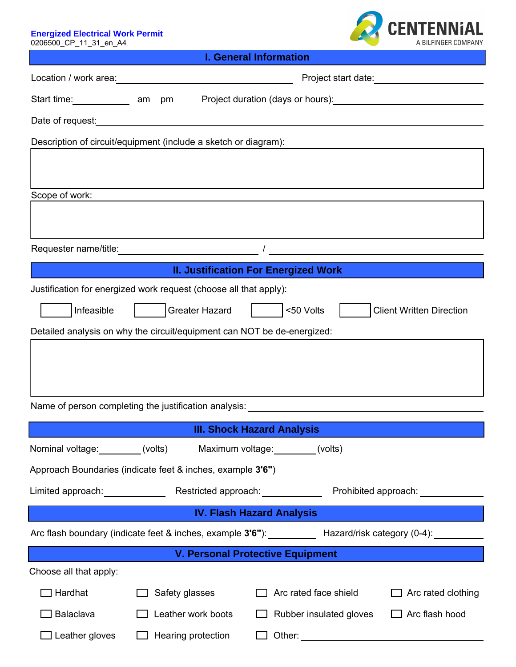Energized Electrical Work Permit<br>0206500\_CP\_11\_31\_en\_A4



| <b>I. General Information</b>                                                                                              |                                                                                                                                                                                                                                |                                             |                                 |  |
|----------------------------------------------------------------------------------------------------------------------------|--------------------------------------------------------------------------------------------------------------------------------------------------------------------------------------------------------------------------------|---------------------------------------------|---------------------------------|--|
|                                                                                                                            |                                                                                                                                                                                                                                |                                             |                                 |  |
| Start time: ________________ am                                                                                            | pm                                                                                                                                                                                                                             |                                             |                                 |  |
|                                                                                                                            | Date of request: example and a series of the series of the series of the series of the series of the series of the series of the series of the series of the series of the series of the series of the series of the series of |                                             |                                 |  |
|                                                                                                                            | Description of circuit/equipment (include a sketch or diagram):                                                                                                                                                                |                                             |                                 |  |
|                                                                                                                            |                                                                                                                                                                                                                                |                                             |                                 |  |
| Scope of work:                                                                                                             |                                                                                                                                                                                                                                |                                             |                                 |  |
|                                                                                                                            |                                                                                                                                                                                                                                |                                             |                                 |  |
|                                                                                                                            |                                                                                                                                                                                                                                |                                             |                                 |  |
| <u> 1999 - Jan James Barnett, politik e</u> ta idazlea (h. 1918).<br>1904 - Johann Barnett, politik eta idazlea (h. 1918). |                                                                                                                                                                                                                                | <b>II. Justification For Energized Work</b> |                                 |  |
|                                                                                                                            | Justification for energized work request (choose all that apply):                                                                                                                                                              |                                             |                                 |  |
| Infeasible                                                                                                                 | <b>Greater Hazard</b>                                                                                                                                                                                                          | <50 Volts                                   | <b>Client Written Direction</b> |  |
| Detailed analysis on why the circuit/equipment can NOT be de-energized:                                                    |                                                                                                                                                                                                                                |                                             |                                 |  |
|                                                                                                                            |                                                                                                                                                                                                                                |                                             |                                 |  |
| Name of person completing the justification analysis: Name of person completing the state of                               |                                                                                                                                                                                                                                |                                             |                                 |  |
| <b>III. Shock Hazard Analysis</b>                                                                                          |                                                                                                                                                                                                                                |                                             |                                 |  |
| Nominal voltage: (volts)                                                                                                   |                                                                                                                                                                                                                                | Maximum voltage: (volts)                    |                                 |  |
|                                                                                                                            | Approach Boundaries (indicate feet & inches, example 3'6")                                                                                                                                                                     |                                             |                                 |  |
| Limited approach: _____________                                                                                            |                                                                                                                                                                                                                                |                                             |                                 |  |
|                                                                                                                            | <b>Example 19 IV. Flash Hazard Analysis</b>                                                                                                                                                                                    |                                             |                                 |  |
| Arc flash boundary (indicate feet & inches, example 3'6"): Hazard/risk category (0-4): 1992                                |                                                                                                                                                                                                                                |                                             |                                 |  |
| V. Personal Protective Equipment                                                                                           |                                                                                                                                                                                                                                |                                             |                                 |  |
| Choose all that apply:                                                                                                     |                                                                                                                                                                                                                                |                                             |                                 |  |
| Hardhat                                                                                                                    | Safety glasses                                                                                                                                                                                                                 | Arc rated face shield                       | Arc rated clothing              |  |
| Balaclava                                                                                                                  | Leather work boots                                                                                                                                                                                                             | Rubber insulated gloves                     | Arc flash hood                  |  |
| Leather gloves                                                                                                             | Hearing protection                                                                                                                                                                                                             | Other:                                      |                                 |  |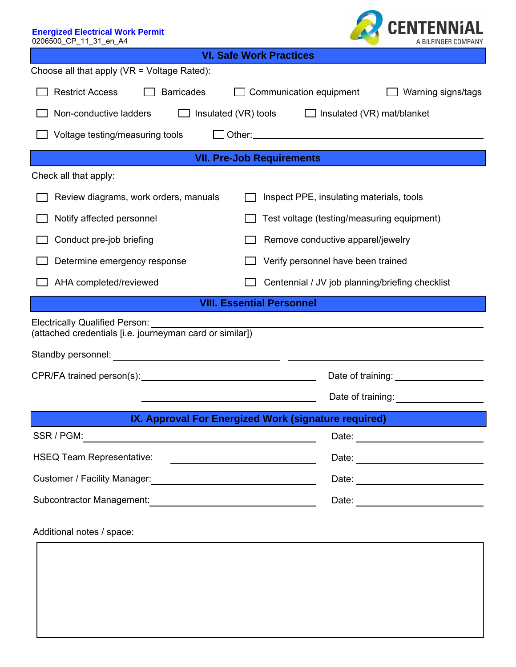| <b>Energized Electrical Work Permit</b><br>0206500_CP_11_31_en_A4                                 | <b>CENTENNIAL</b><br>A BILFINGER COMPANY             |  |  |  |
|---------------------------------------------------------------------------------------------------|------------------------------------------------------|--|--|--|
| <b>VI. Safe Work Practices</b>                                                                    |                                                      |  |  |  |
| Choose all that apply (VR = Voltage Rated):                                                       |                                                      |  |  |  |
| <b>Restrict Access</b><br><b>Barricades</b>                                                       | Communication equipment<br>Warning signs/tags        |  |  |  |
| Non-conductive ladders<br>Insulated (VR) tools<br>$\Box$ Insulated (VR) mat/blanket               |                                                      |  |  |  |
| Voltage testing/measuring tools                                                                   |                                                      |  |  |  |
| <b>VII. Pre-Job Requirements</b>                                                                  |                                                      |  |  |  |
| Check all that apply:                                                                             |                                                      |  |  |  |
| Review diagrams, work orders, manuals                                                             | Inspect PPE, insulating materials, tools             |  |  |  |
| Notify affected personnel                                                                         | Test voltage (testing/measuring equipment)           |  |  |  |
| Conduct pre-job briefing                                                                          | Remove conductive apparel/jewelry                    |  |  |  |
| Determine emergency response                                                                      | Verify personnel have been trained                   |  |  |  |
| AHA completed/reviewed                                                                            | Centennial / JV job planning/briefing checklist      |  |  |  |
| <b>VIII. Essential Personnel</b>                                                                  |                                                      |  |  |  |
| <b>Electrically Qualified Person:</b><br>(attached credentials [i.e. journeyman card or similar]) |                                                      |  |  |  |
| Standby personnel:                                                                                |                                                      |  |  |  |
|                                                                                                   | Date of training: Date of training:                  |  |  |  |
|                                                                                                   | Date of training: ___________________                |  |  |  |
|                                                                                                   | IX. Approval For Energized Work (signature required) |  |  |  |
|                                                                                                   |                                                      |  |  |  |
| <b>HSEQ Team Representative:</b>                                                                  | <u> 1989 - Johann Barbara, martxa alemaniar a</u>    |  |  |  |
| Customer / Facility Manager:<br><u> Customer / Facility Manager:</u>                              |                                                      |  |  |  |
| Subcontractor Management:<br><u> Contractor Management:</u>                                       |                                                      |  |  |  |
| Additional notes / space:                                                                         |                                                      |  |  |  |
|                                                                                                   |                                                      |  |  |  |
|                                                                                                   |                                                      |  |  |  |
|                                                                                                   |                                                      |  |  |  |
|                                                                                                   |                                                      |  |  |  |
|                                                                                                   |                                                      |  |  |  |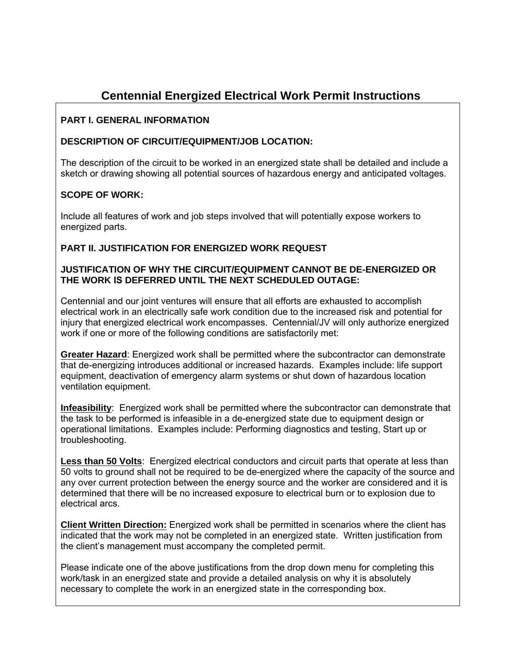# **Centennial Energized Electrical Work Permit Instructions**

## **PART I. GENERAL INFORMATION**

#### **DESCRIPTION OF CIRCUIT/EQUIPMENT/JOB LOCATION:**

The description of the circuit to be worked in an energized state shall be detailed and include a sketch or drawing showing all potential sources of hazardous energy and anticipated voltages.

## **SCOPE OF WORK:**

Include all features of work and job steps involved that will potentially expose workers to energized parts.

#### **PART II. JUSTIFICATION FOR ENERGIZED WORK REQUEST**

#### **JUSTIFICATION OF WHY THE CIRCUIT/EQUIPMENT CANNOT BE DE-ENERGIZED OR** THE WORK IS DEFERRED UNTIL THE NEXT SCHEDULED OUTAGE:

Centennial and our joint ventures will ensure that all efforts are exhausted to accomplish electrical work in an electrically safe work condition due to the increased risk and potential for injury that energized electrical work encompasses. Centennial/JV will only authorize energized work if one or more of the following conditions are satisfactorily met:

Greater Hazard: Energized work shall be permitted where the subcontractor can demonstrate that de-energizing introduces additional or increased hazards. Examples include: life support equipment, deactivation of emergency alarm systems or shut down of hazardous location ventilation equipment.

Infeasibility: Energized work shall be permitted where the subcontractor can demonstrate that the task to be performed is infeasible in a de-energized state due to equipment design or operational limitations. Examples include: Performing diagnostics and testing, Start up or troubleshooting.

Less than 50 Volts: Energized electrical conductors and circuit parts that operate at less than 50 volts to ground shall not be required to be de-energized where the capacity of the source and any over current protection between the energy source and the worker are considered and it is determined that there will be no increased exposure to electrical burn or to explosion due to electrical arcs.

**Client Written Direction:** Energized work shall be permitted in scenarios where the client has indicated that the work may not be completed in an energized state. Written justification from the client's management must accompany the completed permit.

Please indicate one of the above justifications from the drop down menu for completing this work/task in an energized state and provide a detailed analysis on why it is absolutely necessary to complete the work in an energized state in the corresponding box.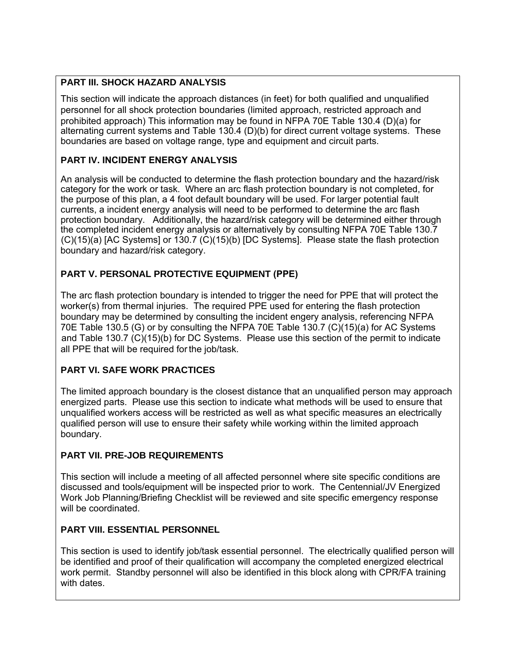## **PART III. SHOCK HAZARD ANALYSIS**

This section will indicate the approach distances (in feet) for both qualified and unqualified personnel for all shock protection boundaries (limited approach, restricted approach and prohibited approach) This information may be found in NFPA 70E Table 130.4 (D)(a) for alternating current systems and Table 130.4 (D)(b) for direct current voltage systems. These boundaries are based on voltage range, type and equipment and circuit parts.

## **PART IV. INCIDENT ENERGY ANALYSIS**

An analysis will be conducted to determine the flash protection boundary and the hazard/risk category for the work or task. Where an arc flash protection boundary is not completed, for the purpose of this plan, a 4 foot default boundary will be used. For larger potential fault currents, a incident energy analysis will need to be performed to determine the arc flash protection boundary. Additionally, the hazard/risk category will be determined either through the completed incident energy analysis or alternatively by consulting NFPA 70E Table 130.7 (C)(15)(a) [AC Systems] or 130.7 (C)(15)(b) [DC Systems]. Please state the flash protection boundary and hazard/risk category.

# **PART V. PERSONAL PROTECTIVE EQUIPMENT (PPE)**

The arc flash protection boundary is intended to trigger the need for PPE that will protect the worker(s) from thermal injuries. The required PPE used for entering the flash protection boundary may be determined by consulting the incident engery analysis, referencing NFPA 70E Table 130.5 (G) or by consulting the NFPA 70E Table 130.7 (C)(15)(a) for AC Systems all PPE that will be required for the job/task. and Table 130.7 (C)(15)(b) for DC Systems. Please use this section of the permit to indicate

# **PART VI. SAFE WORK PRACTICES**

The limited approach boundary is the closest distance that an unqualified person may approach energized parts. Please use this section to indicate what methods will be used to ensure that unqualified workers access will be restricted as well as what specific measures an electrically qualified person will use to ensure their safety while working within the limited approach boundary.

# **PART VII. PRE-JOB REQUIREMENTS**

This section will include a meeting of all affected personnel where site specific conditions are discussed and tools/equipment will be inspected prior to work. The Centennial/JV Energized Work Job Planning/Briefing Checklist will be reviewed and site specific emergency response will be coordinated.

# **PART VIII. ESSENTIAL PERSONNEL**

This section is used to identify job/task essential personnel. The electrically qualified person will be identified and proof of their qualification will accompany the completed energized electrical work permit. Standby personnel will also be identified in this block along with CPR/FA training with dates.